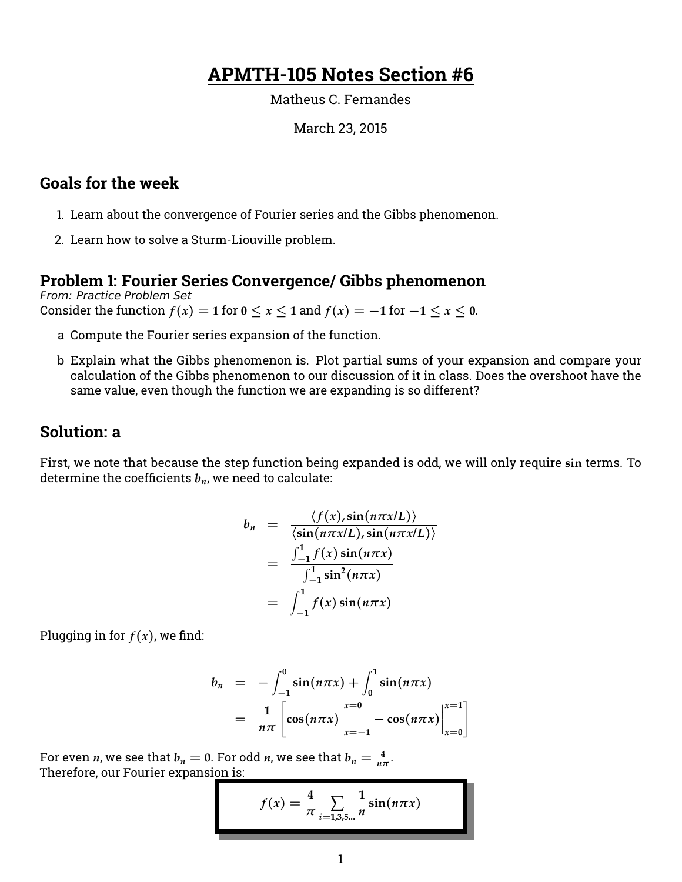# **APMTH-105 Notes Section #6**

Matheus C. Fernandes

March 23, 2015

## **Goals for the week**

- 1. Learn about the convergence of Fourier series and the Gibbs phenomenon.
- 2. Learn how to solve a Sturm-Liouville problem.

#### **Problem 1: Fourier Series Convergence/ Gibbs phenomenon**

From: Practice Problem Set Consider the function  $f(x) = 1$  for  $0 \le x \le 1$  and  $f(x) = -1$  for  $-1 \le x \le 0$ .

- a Compute the Fourier series expansion of the function.
- b Explain what the Gibbs phenomenon is. Plot partial sums of your expansion and compare your calculation of the Gibbs phenomenon to our discussion of it in class. Does the overshoot have the same value, even though the function we are expanding is so different?

## **Solution: a**

First, we note that because the step function being expanded is odd, we will only require **sin** terms. To determine the coefficients  $b_n$ , we need to calculate:

$$
b_n = \frac{\langle f(x), \sin(n\pi x/L) \rangle}{\langle \sin(n\pi x/L), \sin(n\pi x/L) \rangle}
$$
  
= 
$$
\frac{\int_{-1}^{1} f(x) \sin(n\pi x)}{\int_{-1}^{1} \sin^2(n\pi x)}
$$
  
= 
$$
\int_{-1}^{1} f(x) \sin(n\pi x)
$$

Plugging in for  $f(x)$ , we find:

$$
b_n = -\int_{-1}^{0} \sin(n\pi x) + \int_{0}^{1} \sin(n\pi x)
$$
  
=  $\frac{1}{n\pi} \left[ \cos(n\pi x) \Big|_{x=-1}^{x=0} -\cos(n\pi x) \Big|_{x=0}^{x=1} \right]$ 

For even *n*, we see that  $b_n = 0$ . For odd *n*, we see that  $b_n = \frac{4}{n\pi}$ . Therefore, our Fourier expansion is:

$$
f(x) = \frac{4}{\pi} \sum_{i=1,3,5...} \frac{1}{n} \sin(n\pi x)
$$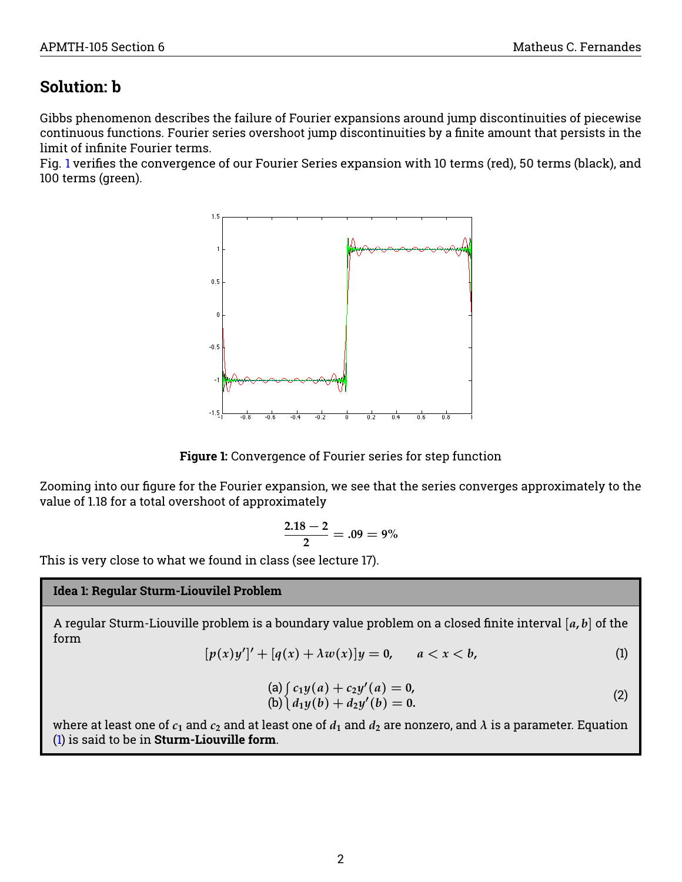## **Solution: b**

Gibbs phenomenon describes the failure of Fourier expansions around jump discontinuities of piecewise continuous functions. Fourier series overshoot jump discontinuities by a finite amount that persists in the limit of infinite Fourier terms.

<span id="page-1-0"></span>Fig. [1](#page-1-0) verifies the convergence of our Fourier Series expansion with 10 terms (red), 50 terms (black), and 100 terms (green).



**Figure 1:** Convergence of Fourier series for step function

Zooming into our figure for the Fourier expansion, we see that the series converges approximately to the value of 1.18 for a total overshoot of approximately

$$
\frac{2.18-2}{2}=.09=9\%
$$

This is very close to what we found in class (see lecture 17).

#### **Idea 1: Regular Sturm-Liouvilel Problem**

A regular Sturm-Liouville problem is a boundary value problem on a closed finite interval [*a***,** *b*] of the form

<span id="page-1-1"></span>
$$
[p(x)y']' + [q(x) + \lambda w(x)]y = 0, \qquad a < x < b,\tag{1}
$$

(a) 
$$
\int c_1 y(a) + c_2 y'(a) = 0
$$
,  
\n(b)  $\int d_1 y(b) + d_2 y'(b) = 0$ . (2)

where at least one of  $c_1$  and  $c_2$  and at least one of  $d_1$  and  $d_2$  are nonzero, and  $\lambda$  is a parameter. Equation [\(1\)](#page-1-1) is said to be in **Sturm-Liouville form**.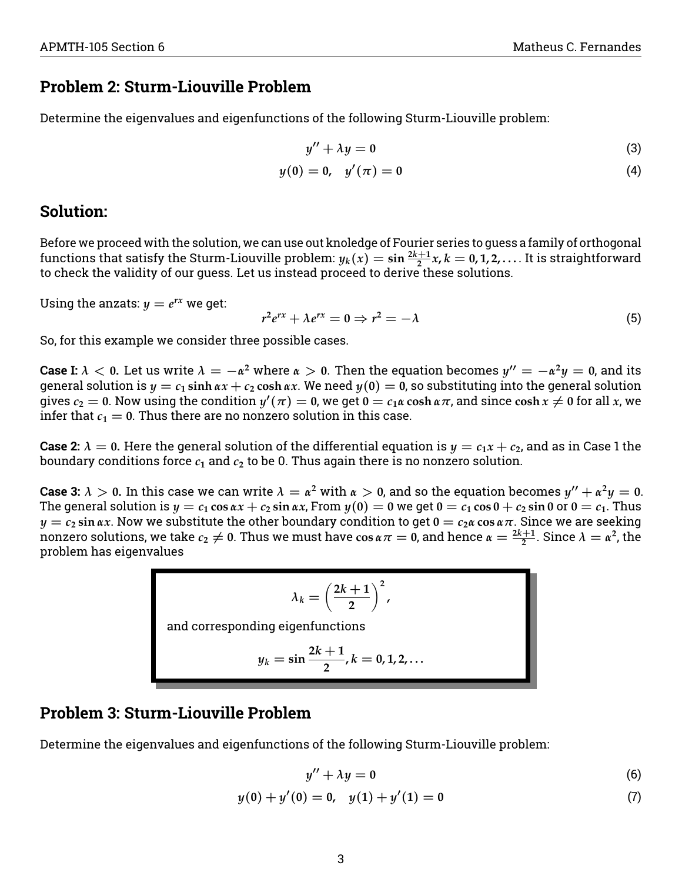## **Problem 2: Sturm-Liouville Problem**

Determine the eigenvalues and eigenfunctions of the following Sturm-Liouville problem:

$$
y'' + \lambda y = 0 \tag{3}
$$

$$
y(0) = 0, \quad y'(\pi) = 0 \tag{4}
$$

## **Solution:**

Before we proceed with the solution, we can use out knoledge of Fourier series to guess a family of orthogonal functions that satisfy the Sturm-Liouville problem:  $y_k(x) = \sin \frac{2k+1}{2}x$ ,  $k = 0, 1, 2, ...$  It is straightforward to check the validity of our guess. Let us instead proceed to derive these solutions.

Using the anzats:  $y = e^{rx}$  we get:

$$
r^2 e^{rx} + \lambda e^{rx} = 0 \Rightarrow r^2 = -\lambda \tag{5}
$$

So, for this example we consider three possible cases.

**Case I:**  $\lambda < 0$ . Let us write  $\lambda = -\alpha^2$  where  $\alpha > 0$ . Then the equation becomes  $y'' = -\alpha^2 y = 0$ , and its general solution is  $y = c_1 \sinh \alpha x + c_2 \cosh \alpha x$ . We need  $y(0) = 0$ , so substituting into the general solution gives  $c_2 = 0$ . Now using the condition  $y'(\pi) = 0$ , we get  $0 = c_1\alpha\cosh\alpha\pi$ , and since  $\cosh x \neq 0$  for all  $x$ , we infer that  $c_1 = 0$ . Thus there are no nonzero solution in this case.

**Case 2:**  $\lambda = 0$ . Here the general solution of the differential equation is  $y = c_1 x + c_2$ , and as in Case 1 the boundary conditions force *c***<sup>1</sup>** and *c***<sup>2</sup>** to be 0. Thus again there is no nonzero solution.

**Case 3:**  $\lambda > 0$ . In this case we can write  $\lambda = \alpha^2$  with  $\alpha > 0$ , and so the equation becomes  $y'' + \alpha^2 y = 0$ . The general solution is  $y = c_1 \cos \alpha x + c_2 \sin \alpha x$ , From  $y(0) = 0$  we get  $0 = c_1 \cos 0 + c_2 \sin 0$  or  $0 = c_1$ . Thus  $y = c_2 \sin \alpha x$ . Now we substitute the other boundary condition to get  $0 = c_2 \alpha \cos \alpha \pi$ . Since we are seeking nonzero solutions, we take  $c_2 \neq 0$ . Thus we must have  $\cos \alpha \pi = 0$ , and hence  $\alpha = \frac{2k+1}{2}$ . Since  $\lambda = \alpha^2$ , the problem has eigenvalues

$$
\lambda_k=\left(\frac{2k+1}{2}\right)^2,
$$

and corresponding eigenfunctions

$$
y_k=\sin\frac{2k+1}{2}, k=0,1,2,\ldots
$$

## **Problem 3: Sturm-Liouville Problem**

Determine the eigenvalues and eigenfunctions of the following Sturm-Liouville problem:

$$
y'' + \lambda y = 0 \tag{6}
$$

$$
y(0) + y'(0) = 0, \quad y(1) + y'(1) = 0 \tag{7}
$$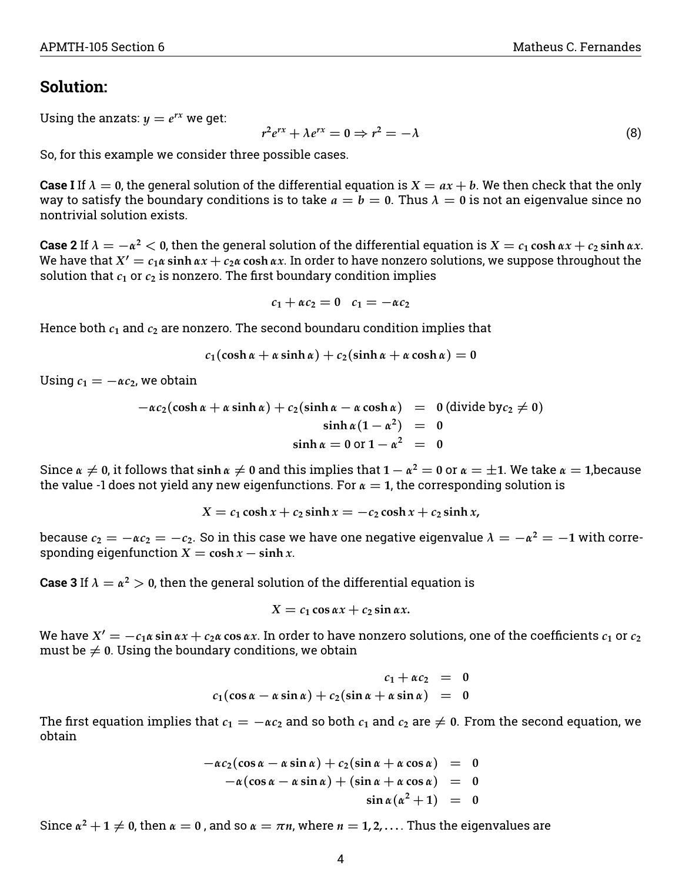## **Solution:**

Using the anzats:  $y = e^{rx}$  we get:

$$
r^2 e^{rx} + \lambda e^{rx} = 0 \Rightarrow r^2 = -\lambda \tag{8}
$$

So, for this example we consider three possible cases.

**Case I** If  $\lambda = 0$ , the general solution of the differential equation is  $X = ax + b$ . We then check that the only way to satisfy the boundary conditions is to take  $a = b = 0$ . Thus  $\lambda = 0$  is not an eigenvalue since no nontrivial solution exists.

 $C$ ase 2 If  $\lambda = -\alpha^2 < 0$ , then the general solution of the differential equation is  $X = c_1 \cosh \alpha x + c_2 \sinh \alpha x$ . We have that  $X' = c_1 \alpha \sinh \alpha x + c_2 \alpha \cosh \alpha x$ . In order to have nonzero solutions, we suppose throughout the solution that  $c_1$  or  $c_2$  is nonzero. The first boundary condition implies

 $c_1 + \alpha c_2 = 0$   $c_1 = -\alpha c_2$ 

Hence both *c***<sup>1</sup>** and *c***<sup>2</sup>** are nonzero. The second boundaru condition implies that

 $c_1(\cosh \alpha + \alpha \sinh \alpha) + c_2(\sinh \alpha + \alpha \cosh \alpha) = 0$ 

Using  $c_1 = -\alpha c_2$ , we obtain

$$
-\alpha c_2(\cosh \alpha + \alpha \sinh \alpha) + c_2(\sinh \alpha - \alpha \cosh \alpha) = 0 \text{ (divide by } c_2 \neq 0)
$$
  

$$
\sinh \alpha (1 - \alpha^2) = 0
$$
  

$$
\sinh \alpha = 0 \text{ or } 1 - \alpha^2 = 0
$$

Since  $\alpha \neq 0$ , it follows that  $\sinh\alpha \neq 0$  and this implies that  $1-\alpha^2=0$  or  $\alpha=\pm 1$ . We take  $\alpha=1$ ,because the value -1 does not yield any new eigenfunctions. For  $\alpha = 1$ , the corresponding solution is

$$
X = c_1 \cosh x + c_2 \sinh x = -c_2 \cosh x + c_2 \sinh x,
$$

because  $c_2=-\alpha c_2=-c_2$ . So in this case we have one negative eigenvalue  $\lambda=-\alpha^2=-1$  with corresponding eigenfunction  $X = \cosh x - \sinh x$ .

**Case 3** If  $\lambda = \alpha^2 > 0$ , then the general solution of the differential equation is

$$
X=c_1\cos\alpha x+c_2\sin\alpha x.
$$

We have  $X'=-c_1\alpha\sin\alpha x+c_2\alpha\cos\alpha x$ . In order to have nonzero solutions, one of the coefficients  $c_1$  or  $c_2$ must be  $\neq$  0. Using the boundary conditions, we obtain

$$
c_1 + \alpha c_2 = 0
$$
  

$$
c_1(\cos \alpha - \alpha \sin \alpha) + c_2(\sin \alpha + \alpha \sin \alpha) = 0
$$

The first equation implies that  $c_1 = -\alpha c_2$  and so both  $c_1$  and  $c_2$  are  $\neq 0$ . From the second equation, we obtain

$$
-\alpha c_2(\cos \alpha - \alpha \sin \alpha) + c_2(\sin \alpha + \alpha \cos \alpha) = 0
$$
  

$$
-\alpha(\cos \alpha - \alpha \sin \alpha) + (\sin \alpha + \alpha \cos \alpha) = 0
$$
  

$$
\sin \alpha(\alpha^2 + 1) = 0
$$

Since  $\alpha^2 + 1 \neq 0$ , then  $\alpha = 0$  , and so  $\alpha = \pi n$ , where  $n = 1, 2, \ldots$  . Thus the eigenvalues are